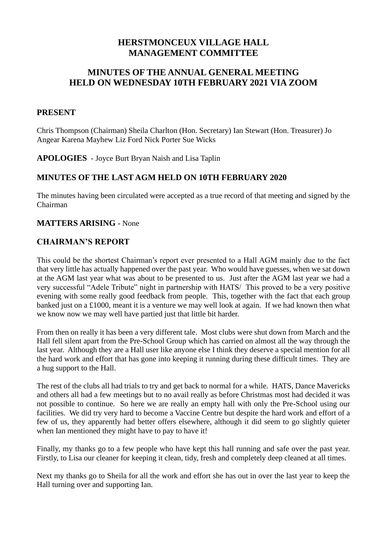# **HERSTMONCEUX VILLAGE HALL MANAGEMENT COMMITTEE**

# **MINUTES OF THE ANNUAL GENERAL MEETING HELD ON WEDNESDAY 10TH FEBRUARY 2021 VIA ZOOM**

### **PRESENT**

Chris Thompson (Chairman) Sheila Charlton (Hon. Secretary) Ian Stewart (Hon. Treasurer) Jo Angear Karena Mayhew Liz Ford Nick Porter Sue Wicks

**APOLOGIES** - Joyce Burt Bryan Naish and Lisa Taplin

## **MINUTES OF THE LAST AGM HELD ON 10TH FEBRUARY 2020**

The minutes having been circulated were accepted as a true record of that meeting and signed by the Chairman

### **MATTERS ARISING -** None

## **CHAIRMAN'S REPORT**

This could be the shortest Chairman's report ever presented to a Hall AGM mainly due to the fact that very little has actually happened over the past year. Who would have guesses, when we sat down at the AGM last year what was about to be presented to us. Just after the AGM last year we had a very successful "Adele Tribute" night in partnership with HATS/ This proved to be a very positive evening with some really good feedback from people. This, together with the fact that each group banked just on a £1000, meant it is a venture we may well look at again. If we had known then what we know now we may well have partied just that little bit harder.

From then on really it has been a very different tale. Most clubs were shut down from March and the Hall fell silent apart from the Pre-School Group which has carried on almost all the way through the last year. Although they are a Hall user like anyone else I think they deserve a special mention for all the hard work and effort that has gone into keeping it running during these difficult times. They are a hug support to the Hall.

The rest of the clubs all had trials to try and get back to normal for a while. HATS, Dance Mavericks and others all had a few meetings but to no avail really as before Christmas most had decided it was not possible to continue. So here we are really an empty hall with only the Pre-School using our facilities. We did try very hard to become a Vaccine Centre but despite the hard work and effort of a few of us, they apparently had better offers elsewhere, although it did seem to go slightly quieter when Ian mentioned they might have to pay to have it!

Finally, my thanks go to a few people who have kept this hall running and safe over the past year. Firstly, to Lisa our cleaner for keeping it clean, tidy, fresh and completely deep cleaned at all times.

Next my thanks go to Sheila for all the work and effort she has out in over the last year to keep the Hall turning over and supporting Ian.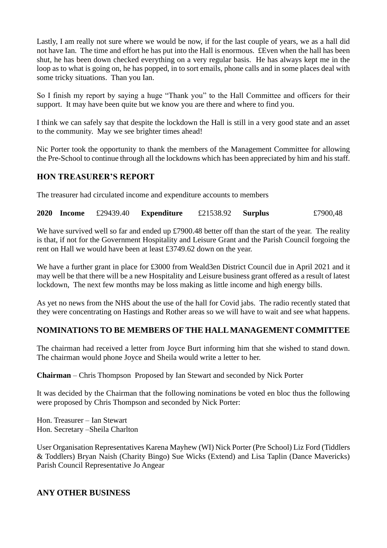Lastly, I am really not sure where we would be now, if for the last couple of years, we as a hall did not have Ian. The time and effort he has put into the Hall is enormous. £Even when the hall has been shut, he has been down checked everything on a very regular basis. He has always kept me in the loop as to what is going on, he has popped, in to sort emails, phone calls and in some places deal with some tricky situations. Than you Ian.

So I finish my report by saying a huge "Thank you" to the Hall Committee and officers for their support. It may have been quite but we know you are there and where to find you.

I think we can safely say that despite the lockdown the Hall is still in a very good state and an asset to the community. May we see brighter times ahead!

Nic Porter took the opportunity to thank the members of the Management Committee for allowing the Pre-School to continue through all the lockdowns which has been appreciated by him and his staff.

## **HON TREASURER'S REPORT**

The treasurer had circulated income and expenditure accounts to members

**2020 Income** £29439.40 **Expenditure** £21538.92 **Surplus** £7900,48

We have survived well so far and ended up £7900.48 better off than the start of the year. The reality is that, if not for the Government Hospitality and Leisure Grant and the Parish Council forgoing the rent on Hall we would have been at least £3749.62 down on the year.

We have a further grant in place for £3000 from Weald3en District Council due in April 2021 and it may well be that there will be a new Hospitality and Leisure business grant offered as a result of latest lockdown, The next few months may be loss making as little income and high energy bills.

As yet no news from the NHS about the use of the hall for Covid jabs. The radio recently stated that they were concentrating on Hastings and Rother areas so we will have to wait and see what happens.

#### **NOMINATIONS TO BE MEMBERS OF THE HALL MANAGEMENT COMMITTEE**

The chairman had received a letter from Joyce Burt informing him that she wished to stand down. The chairman would phone Joyce and Sheila would write a letter to her.

**Chairman** – Chris Thompson Proposed by Ian Stewart and seconded by Nick Porter

It was decided by the Chairman that the following nominations be voted en bloc thus the following were proposed by Chris Thompson and seconded by Nick Porter:

Hon. Treasurer – Ian Stewart Hon. Secretary –Sheila Charlton

User Organisation Representatives Karena Mayhew (WI) Nick Porter (Pre School) Liz Ford (Tiddlers & Toddlers) Bryan Naish (Charity Bingo) Sue Wicks (Extend) and Lisa Taplin (Dance Mavericks) Parish Council Representative Jo Angear

#### **ANY OTHER BUSINESS**